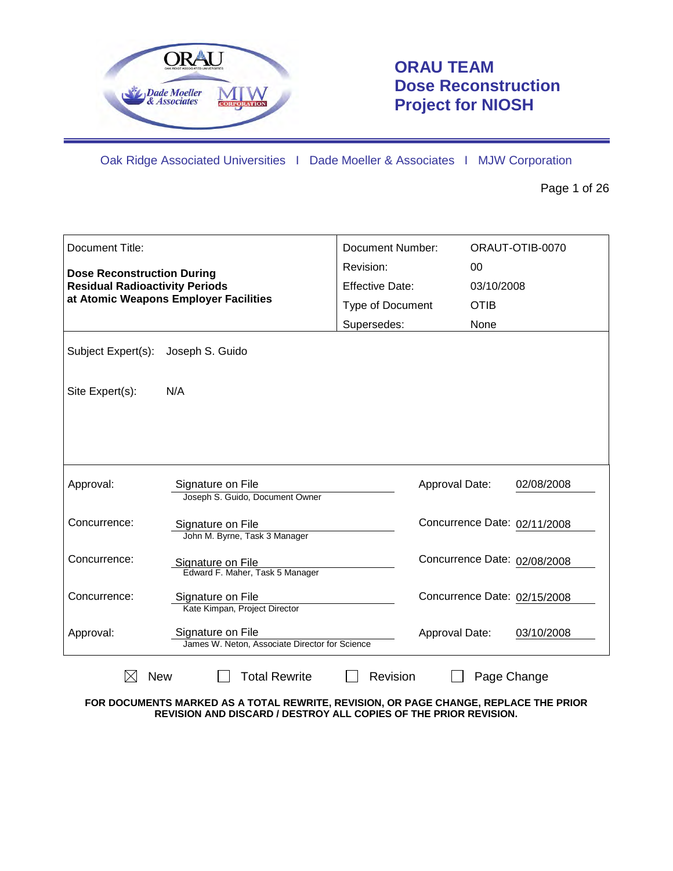

# **ORAU TEAM Dose Reconstruction Project for NIOSH**

Oak Ridge Associated Universities I Dade Moeller & Associates I MJW Corporation

Page 1 of 26

| <b>Document Title:</b>                                                                                              |                                                                     | Document Number:       |             | ORAUT-OTIB-0070              |
|---------------------------------------------------------------------------------------------------------------------|---------------------------------------------------------------------|------------------------|-------------|------------------------------|
| <b>Dose Reconstruction During</b><br><b>Residual Radioactivity Periods</b><br>at Atomic Weapons Employer Facilities |                                                                     | Revision:              | 00          |                              |
|                                                                                                                     |                                                                     | <b>Effective Date:</b> | 03/10/2008  |                              |
|                                                                                                                     |                                                                     | Type of Document       | <b>OTIB</b> |                              |
|                                                                                                                     |                                                                     | Supersedes:            | None        |                              |
| Subject Expert(s):                                                                                                  | Joseph S. Guido                                                     |                        |             |                              |
| Site Expert(s):                                                                                                     | N/A                                                                 |                        |             |                              |
|                                                                                                                     |                                                                     |                        |             |                              |
|                                                                                                                     |                                                                     |                        |             |                              |
| Approval:                                                                                                           | Signature on File<br>Joseph S. Guido, Document Owner                | Approval Date:         |             | 02/08/2008                   |
| Concurrence:                                                                                                        | Signature on File<br>John M. Byrne, Task 3 Manager                  |                        |             | Concurrence Date: 02/11/2008 |
| Concurrence:                                                                                                        | Signature on File<br>Edward F. Maher, Task 5 Manager                |                        |             | Concurrence Date: 02/08/2008 |
| Concurrence:                                                                                                        | Signature on File<br>Kate Kimpan, Project Director                  |                        |             | Concurrence Date: 02/15/2008 |
| Approval:                                                                                                           | Signature on File<br>James W. Neton, Associate Director for Science | Approval Date:         |             | 03/10/2008                   |
| <b>New</b>                                                                                                          | <b>Total Rewrite</b>                                                | Revision               | Page Change |                              |

**FOR DOCUMENTS MARKED AS A TOTAL REWRITE, REVISION, OR PAGE CHANGE, REPLACE THE PRIOR REVISION AND DISCARD / DESTROY ALL COPIES OF THE PRIOR REVISION.**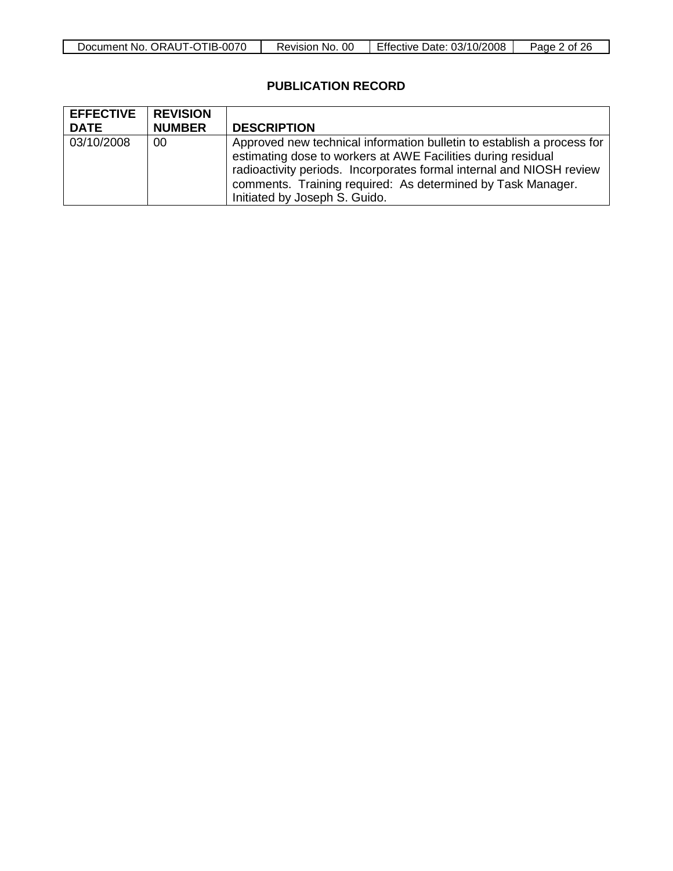| ORAUT-OTIB-0070<br>Document No. | <sub>0</sub> C<br>-No.<br>Revision, | Effective Date: 03/10/2008 | 26<br>$\frac{u}{2}$ ade $\frac{u}{2}$<br>0t |
|---------------------------------|-------------------------------------|----------------------------|---------------------------------------------|

## **PUBLICATION RECORD**

| <b>EFFECTIVE</b><br><b>DATE</b> | <b>REVISION</b><br><b>NUMBER</b> | <b>DESCRIPTION</b>                                                                                                                                                                                                                                                                                             |
|---------------------------------|----------------------------------|----------------------------------------------------------------------------------------------------------------------------------------------------------------------------------------------------------------------------------------------------------------------------------------------------------------|
| 03/10/2008                      | 00                               | Approved new technical information bulletin to establish a process for<br>estimating dose to workers at AWE Facilities during residual<br>radioactivity periods. Incorporates formal internal and NIOSH review<br>comments. Training required: As determined by Task Manager.<br>Initiated by Joseph S. Guido. |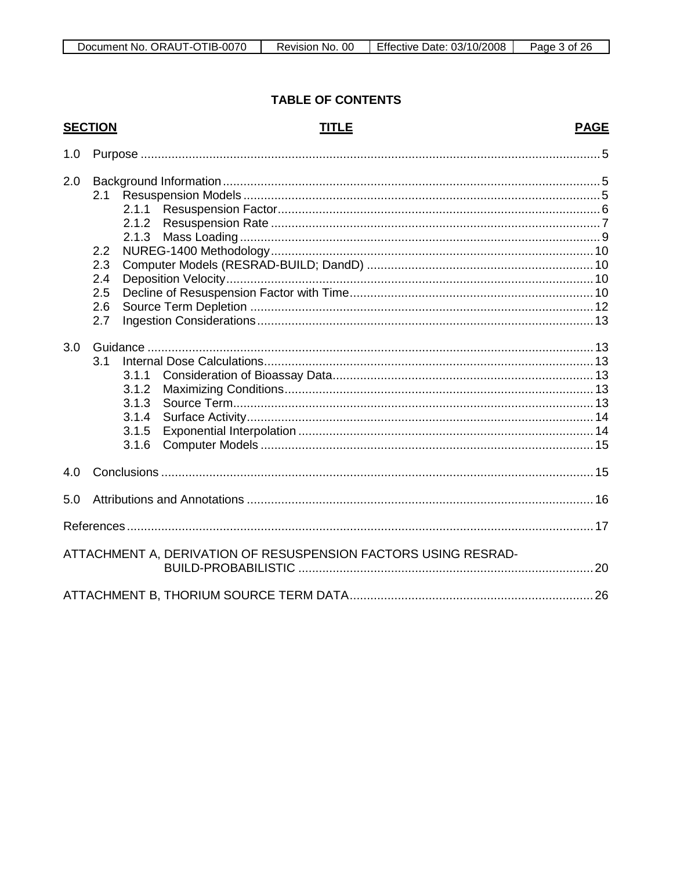## **TABLE OF CONTENTS**

## **SECTION**

## **TITLE**

## **PAGE**

| 1.0 |                                                                          |  |
|-----|--------------------------------------------------------------------------|--|
| 2.0 | 2.1<br>2.1.1<br>2.1.2<br>2.1.3<br>2.2<br>2.3<br>2.4<br>2.5<br>2.6<br>2.7 |  |
| 3.0 | 3.1<br>3.1.1<br>3.1.2<br>3.1.3<br>3.1.4<br>3.1.5<br>3.1.6                |  |
| 4.0 |                                                                          |  |
| 5.0 |                                                                          |  |
|     |                                                                          |  |
|     | ATTACHMENT A, DERIVATION OF RESUSPENSION FACTORS USING RESRAD-           |  |
|     |                                                                          |  |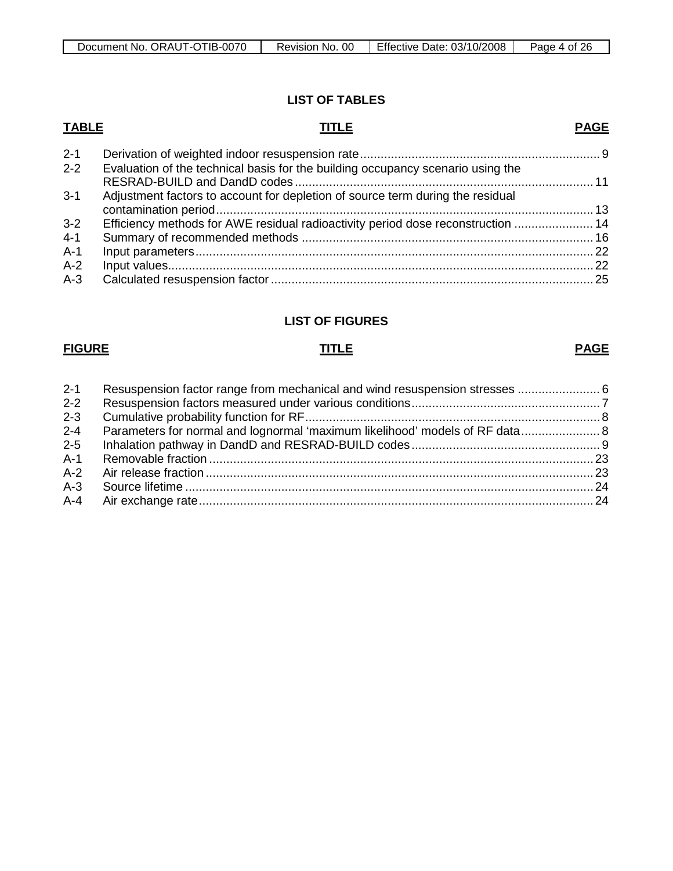## **LIST OF TABLES**

## **TABLE TITLE** 2-1 Derivation of weighted indoor resuspension rate...................................................................... 9 **PAGE** 2-2 Evaluation of the technical basis for the building occupancy scenario using the RESRAD-BUILD and DandD codes ....................................................................................... 11 3-1 Adjustment factors to account for depletion of source term during the residual contamination period..............................................................................................................13 3-2 Efficiency methods for AWE residual radioactivity period dose reconstruction ....................... 14 4-1 Summary of recommended methods ..................................................................................... 16 A-1 Input parameters....................................................................................................................22

| $A-2$ |  |
|-------|--|
| $A-3$ |  |

## **LIST OF FIGURES**

## **FIGURE TITLE PAGE**

| $2 - 1$ | Resuspension factor range from mechanical and wind resuspension stresses  6 |  |
|---------|-----------------------------------------------------------------------------|--|
| $2 - 2$ |                                                                             |  |
| $2 - 3$ |                                                                             |  |
| $2 - 4$ |                                                                             |  |
| $2 - 5$ |                                                                             |  |
| $A-1$   |                                                                             |  |
|         |                                                                             |  |
|         |                                                                             |  |
|         |                                                                             |  |
|         |                                                                             |  |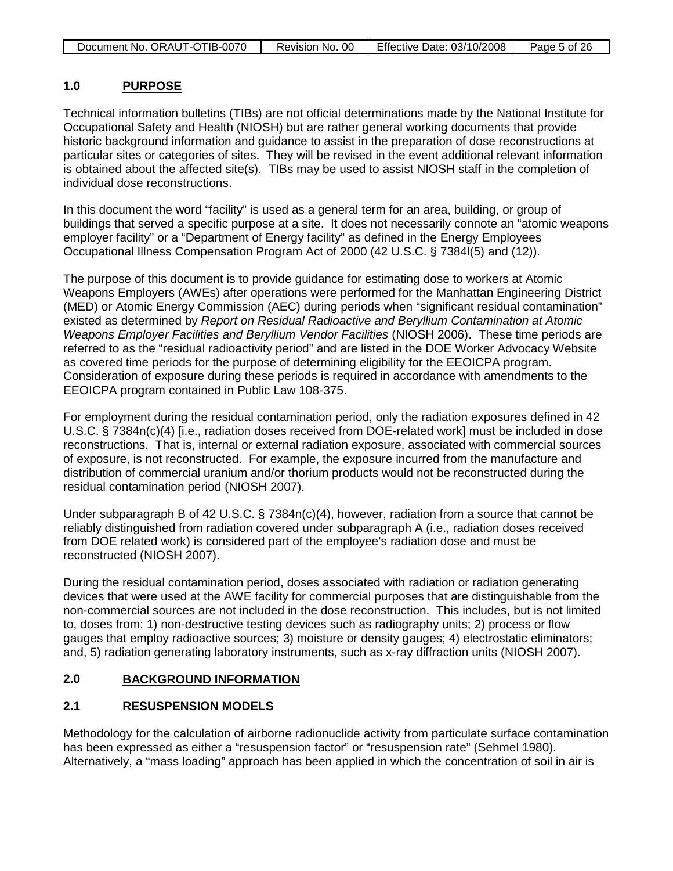| Document No. ORAUT-OTIB-0070 | Revision No. 00 | Effective Date: 03/10/2008 | Page 5 of 26 |
|------------------------------|-----------------|----------------------------|--------------|

#### **1.0 PURPOSE**

Technical information bulletins (TIBs) are not official determinations made by the National Institute for Occupational Safety and Health (NIOSH) but are rather general working documents that provide historic background information and guidance to assist in the preparation of dose reconstructions at particular sites or categories of sites. They will be revised in the event additional relevant information is obtained about the affected site(s). TIBs may be used to assist NIOSH staff in the completion of individual dose reconstructions.

In this document the word "facility" is used as a general term for an area, building, or group of buildings that served a specific purpose at a site. It does not necessarily connote an "atomic weapons employer facility" or a "Department of Energy facility" as defined in the Energy Employees Occupational Illness Compensation Program Act of 2000 (42 U.S.C. § 7384l(5) and (12)).

The purpose of this document is to provide guidance for estimating dose to workers at Atomic Weapons Employers (AWEs) after operations were performed for the Manhattan Engineering District (MED) or Atomic Energy Commission (AEC) during periods when "significant residual contamination" existed as determined by *Report on Residual Radioactive and Beryllium Contamination at Atomic Weapons Employer Facilities and Beryllium Vendor Facilities* (NIOSH 2006). These time periods are referred to as the "residual radioactivity period" and are listed in the DOE Worker Advocacy Website as covered time periods for the purpose of determining eligibility for the EEOICPA program. Consideration of exposure during these periods is required in accordance with amendments to the EEOICPA program contained in Public Law 108-375.

For employment during the residual contamination period, only the radiation exposures defined in 42 U.S.C. § 7384n(c)(4) [i.e., radiation doses received from DOE-related work] must be included in dose reconstructions. That is, internal or external radiation exposure, associated with commercial sources of exposure, is not reconstructed. For example, the exposure incurred from the manufacture and distribution of commercial uranium and/or thorium products would not be reconstructed during the residual contamination period (NIOSH 2007).

Under subparagraph B of 42 U.S.C. § 7384n(c)(4), however, radiation from a source that cannot be reliably distinguished from radiation covered under subparagraph A (i.e., radiation doses received from DOE related work) is considered part of the employee's radiation dose and must be reconstructed (NIOSH 2007).

During the residual contamination period, doses associated with radiation or radiation generating devices that were used at the AWE facility for commercial purposes that are distinguishable from the non-commercial sources are not included in the dose reconstruction. This includes, but is not limited to, doses from: 1) non-destructive testing devices such as radiography units; 2) process or flow gauges that employ radioactive sources; 3) moisture or density gauges; 4) electrostatic eliminators; and, 5) radiation generating laboratory instruments, such as x-ray diffraction units (NIOSH 2007).

## **2.0 BACKGROUND INFORMATION**

## **2.1 RESUSPENSION MODELS**

Methodology for the calculation of airborne radionuclide activity from particulate surface contamination has been expressed as either a "resuspension factor" or "resuspension rate" (Sehmel 1980). Alternatively, a "mass loading" approach has been applied in which the concentration of soil in air is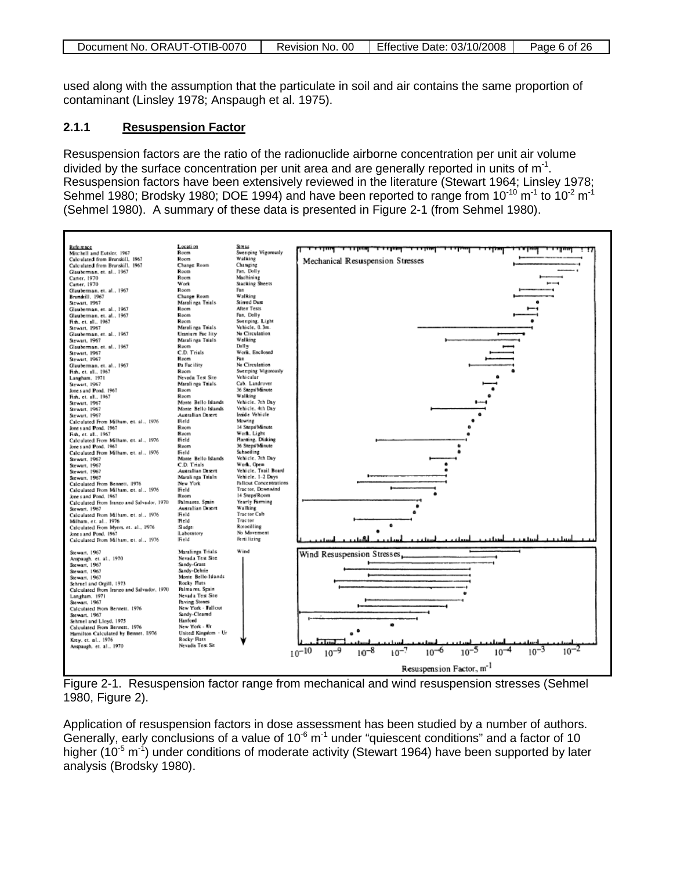| Document No. ORAUT-OTIB-0070 | Revision No. 00 | Effective Date: 03/10/2008 | Page 6 of 26 |
|------------------------------|-----------------|----------------------------|--------------|

used along with the assumption that the particulate in soil and air contains the same proportion of contaminant (Linsley 1978; Anspaugh et al. 1975).

#### **2.1.1 Resuspension Factor**

Resuspension factors are the ratio of the radionuclide airborne concentration per unit air volume divided by the surface concentration per unit area and are generally reported in units of  $m<sup>-1</sup>$ . Resuspension factors have been extensively reviewed in the literature (Stewart 1964; Linsley 1978; Sehmel 1980; Brodsky 1980; DOE 1994) and have been reported to range from  $10^{-10}$  m<sup>-1</sup> to  $10^{-2}$  m<sup>-1</sup> (Sehmel 1980). A summary of these data is presented in Figure 2-1 (from Sehmel 1980).



Figure 2-1. Resuspension factor range from mechanical and wind resuspension stresses (Sehmel 1980, Figure 2).

Application of resuspension factors in dose assessment has been studied by a number of authors. Generally, early conclusions of a value of  $10^{-6}$  m<sup>-1</sup> under "quiescent conditions" and a factor of 10 higher (10<sup>-5</sup> m<sup>-1</sup>) under conditions of moderate activity (Stewart 1964) have been supported by later analysis (Brodsky 1980).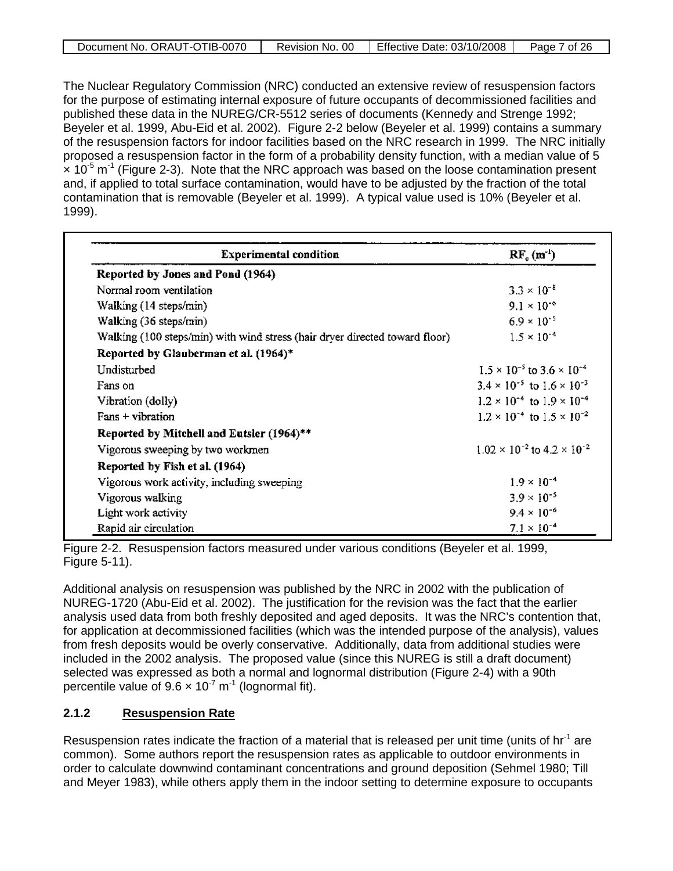| Document No. ORAUT-OTIB-0070 | . 00<br>Revision No. | Effective Date: 03/10/2008 | <sup>7</sup> of 26<br>Page |
|------------------------------|----------------------|----------------------------|----------------------------|

The Nuclear Regulatory Commission (NRC) conducted an extensive review of resuspension factors for the purpose of estimating internal exposure of future occupants of decommissioned facilities and published these data in the NUREG/CR-5512 series of documents (Kennedy and Strenge 1992; Beyeler et al. 1999, Abu-Eid et al. 2002). Figure 2-2 below (Beyeler et al. 1999) contains a summary of the resuspension factors for indoor facilities based on the NRC research in 1999. The NRC initially proposed a resuspension factor in the form of a probability density function, with a median value of 5  $\times$  10<sup>-5</sup> m<sup>-1</sup> (Figure 2-3). Note that the NRC approach was based on the loose contamination present and, if applied to total surface contamination, would have to be adjusted by the fraction of the total contamination that is removable (Beyeler et al. 1999). A typical value used is 10% (Beyeler et al. 1999).

| <b>Experimental condition</b>                                               | $RF_c(m^{-1})$                                |
|-----------------------------------------------------------------------------|-----------------------------------------------|
| Reported by Jones and Pond (1964)                                           |                                               |
| Normal room ventilation                                                     | $3.3 \times 10^{-8}$                          |
| Walking (14 steps/min)                                                      | $9.1 \times 10^{-6}$                          |
| Walking (36 steps/min)                                                      | $6.9 \times 10^{-5}$                          |
| Walking (100 steps/min) with wind stress (hair dryer directed toward floor) | $1.5 \times 10^{-4}$                          |
| Reported by Glauberman et al. (1964)*                                       |                                               |
| Undisturbed                                                                 | $1.5 \times 10^{-5}$ to $3.6 \times 10^{-4}$  |
| Fans on                                                                     | $3.4 \times 10^{-5}$ to $1.6 \times 10^{-3}$  |
| Vibration (dolly)                                                           | $1.2 \times 10^{-4}$ to $1.9 \times 10^{-4}$  |
| Fans + vibration                                                            | $1.2 \times 10^{-4}$ to $1.5 \times 10^{-2}$  |
| Reported by Mitchell and Eutsler (1964)**                                   |                                               |
| Vigorous sweeping by two workmen                                            | $1.02 \times 10^{-2}$ to $4.2 \times 10^{-2}$ |
| Reported by Fish et al. (1964)                                              |                                               |
| Vigorous work activity, including sweeping                                  | $1.9 \times 10^{-4}$                          |
| Vigorous walking                                                            | $3.9 \times 10^{-5}$                          |
| Light work activity                                                         | $9.4 \times 10^{-6}$                          |
| Rapid air circulation                                                       | $7.1 \times 10^{-4}$                          |

Figure 2-2. Resuspension factors measured under various conditions (Beyeler et al. 1999, Figure 5-11).

Additional analysis on resuspension was published by the NRC in 2002 with the publication of NUREG-1720 (Abu-Eid et al. 2002). The justification for the revision was the fact that the earlier analysis used data from both freshly deposited and aged deposits. It was the NRC's contention that, for application at decommissioned facilities (which was the intended purpose of the analysis), values from fresh deposits would be overly conservative. Additionally, data from additional studies were included in the 2002 analysis. The proposed value (since this NUREG is still a draft document) selected was expressed as both a normal and lognormal distribution (Figure 2-4) with a 90th percentile value of  $9.6 \times 10^{-7}$  m<sup>-1</sup> (lognormal fit).

#### **2.1.2 Resuspension Rate**

Resuspension rates indicate the fraction of a material that is released per unit time (units of hr<sup>-1</sup> are common). Some authors report the resuspension rates as applicable to outdoor environments in order to calculate downwind contaminant concentrations and ground deposition (Sehmel 1980; Till and Meyer 1983), while others apply them in the indoor setting to determine exposure to occupants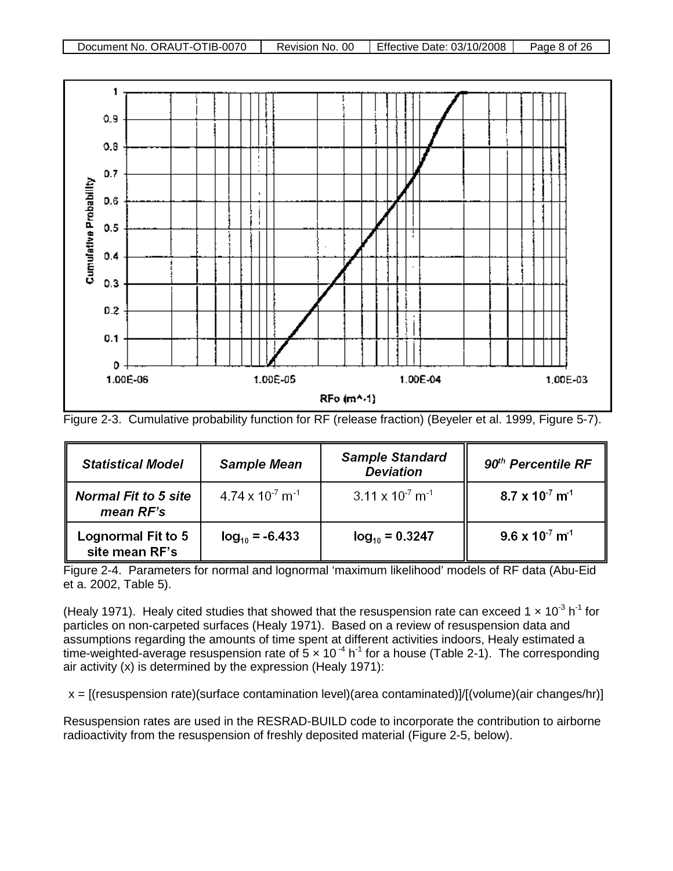



Figure 2-3. Cumulative probability function for RF (release fraction) (Beyeler et al. 1999, Figure 5-7).

| <b>Statistical Model</b>                 | <b>Sample Mean</b>                    | <b>Sample Standard</b><br><b>Deviation</b> | $90th$ Percentile RF                 |
|------------------------------------------|---------------------------------------|--------------------------------------------|--------------------------------------|
| <b>Normal Fit to 5 site</b><br>mean RF's | $4.74 \times 10^{-7}$ m <sup>-1</sup> | $3.11 \times 10^{-7}$ m <sup>-1</sup>      | $8.7 \times 10^{-7}$ m <sup>-1</sup> |
| Lognormal Fit to 5<br>site mean RF's     | $log_{10} = 6.433$                    | $log_{10} = 0.3247$                        | $9.6 \times 10^{-7}$ m <sup>-1</sup> |

Figure 2-4. Parameters for normal and lognormal 'maximum likelihood' models of RF data (Abu-Eid et a. 2002, Table 5).

(Healy 1971). Healy cited studies that showed that the resuspension rate can exceed 1  $\times$  10<sup>-3</sup> h<sup>-1</sup> for particles on non-carpeted surfaces (Healy 1971). Based on a review of resuspension data and assumptions regarding the amounts of time spent at different activities indoors, Healy estimated a time-weighted-average resuspension rate of  $5 \times 10^{-4}$  h<sup>-1</sup> for a house (Table 2-1). The corresponding air activity (x) is determined by the expression (Healy 1971):

 $x = [(resuspension rate)(surface contamination level)(area contaminated)]/[(volume)(air changes/hr)]$ 

Resuspension rates are used in the RESRAD-BUILD code to incorporate the contribution to airborne radioactivity from the resuspension of freshly deposited material (Figure 2-5, below).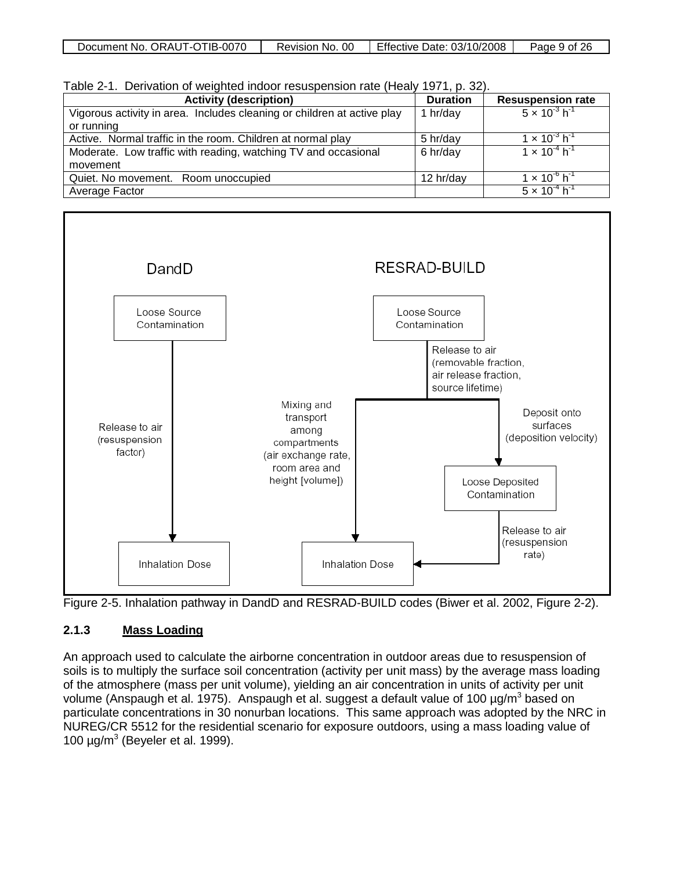| Document No. ORAUT-OTIB-0070 | 00<br>Revision No. | Effective Date: 03/10/2008 | Page 9 of 26 |
|------------------------------|--------------------|----------------------------|--------------|
|------------------------------|--------------------|----------------------------|--------------|

| Table 2-1. Derivation of weighted indoor resuspension rate (Healy 1971, p. 32). |  |  |  |  |
|---------------------------------------------------------------------------------|--|--|--|--|
|---------------------------------------------------------------------------------|--|--|--|--|

| <b>Activity (description)</b>                                           | <b>Duration</b> | <b>Resuspension rate</b>           |
|-------------------------------------------------------------------------|-----------------|------------------------------------|
| Vigorous activity in area. Includes cleaning or children at active play | 1 hr/day        | $5 \times 10^{-3}$ h <sup>-1</sup> |
| or running                                                              |                 |                                    |
| Active. Normal traffic in the room. Children at normal play<br>5 hr/day |                 | $1 \times 10^{-3}$ h <sup>-1</sup> |
| Moderate. Low traffic with reading, watching TV and occasional          | 6 hr/day        | $1 \times 10^{-4}$ h <sup>-1</sup> |
| movement                                                                |                 |                                    |
| Quiet. No movement. Room unoccupied                                     | 12 hr/day       | $1 \times 10^{10}$ h <sup>-1</sup> |
| Average Factor                                                          |                 | $5 \times 10^{-4}$ h <sup>-1</sup> |



Figure 2-5. Inhalation pathway in DandD and RESRAD-BUILD codes (Biwer et al. 2002, Figure 2-2).

#### **2.1.3 Mass Loading**

An approach used to calculate the airborne concentration in outdoor areas due to resuspension of soils is to multiply the surface soil concentration (activity per unit mass) by the average mass loading of the atmosphere (mass per unit volume), yielding an air concentration in units of activity per unit volume (Anspaugh et al. 1975). Anspaugh et al. suggest a default value of 100  $\mu$ g/m<sup>3</sup> based on particulate concentrations in 30 nonurban locations. This same approach was adopted by the NRC in NUREG/CR 5512 for the residential scenario for exposure outdoors, using a mass loading value of 100  $\mu$ g/m<sup>3</sup> (Beyeler et al. 1999).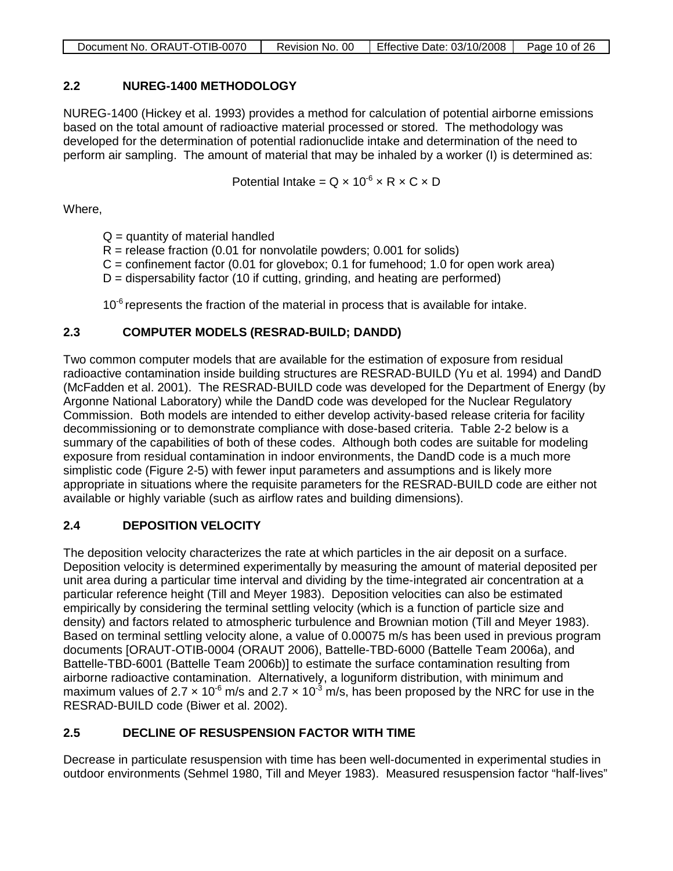| Document No. ORAUT-OTIB-0070 | Revision No. 00   Effective Date: 03/10/2008 | Page 10 of 26 |
|------------------------------|----------------------------------------------|---------------|

## **2.2 NUREG-1400 METHODOLOGY**

NUREG-1400 (Hickey et al. 1993) provides a method for calculation of potential airborne emissions based on the total amount of radioactive material processed or stored. The methodology was developed for the determination of potential radionuclide intake and determination of the need to perform air sampling. The amount of material that may be inhaled by a worker (I) is determined as:

Potential Intake =  $Q \times 10^{-6} \times R \times C \times D$ 

Where,

- $Q =$  quantity of material handled
- $R =$  release fraction (0.01 for nonvolatile powders; 0.001 for solids)
- $C =$  confinement factor (0.01 for glovebox; 0.1 for fumehood; 1.0 for open work area)
- $D =$  dispersability factor (10 if cutting, grinding, and heating are performed)

 $10<sup>-6</sup>$  represents the fraction of the material in process that is available for intake.

## **2.3 COMPUTER MODELS (RESRAD-BUILD; DANDD)**

Two common computer models that are available for the estimation of exposure from residual radioactive contamination inside building structures are RESRAD-BUILD (Yu et al. 1994) and DandD (McFadden et al. 2001). The RESRAD-BUILD code was developed for the Department of Energy (by Argonne National Laboratory) while the DandD code was developed for the Nuclear Regulatory Commission. Both models are intended to either develop activity-based release criteria for facility decommissioning or to demonstrate compliance with dose-based criteria. Table 2-2 below is a summary of the capabilities of both of these codes. Although both codes are suitable for modeling exposure from residual contamination in indoor environments, the DandD code is a much more simplistic code (Figure 2-5) with fewer input parameters and assumptions and is likely more appropriate in situations where the requisite parameters for the RESRAD-BUILD code are either not available or highly variable (such as airflow rates and building dimensions).

## **2.4 DEPOSITION VELOCITY**

The deposition velocity characterizes the rate at which particles in the air deposit on a surface. Deposition velocity is determined experimentally by measuring the amount of material deposited per unit area during a particular time interval and dividing by the time-integrated air concentration at a particular reference height (Till and Meyer 1983). Deposition velocities can also be estimated empirically by considering the terminal settling velocity (which is a function of particle size and density) and factors related to atmospheric turbulence and Brownian motion (Till and Meyer 1983). Based on terminal settling velocity alone, a value of 0.00075 m/s has been used in previous program documents [ORAUT-OTIB-0004 (ORAUT 2006), Battelle-TBD-6000 (Battelle Team 2006a), and Battelle-TBD-6001 (Battelle Team 2006b)] to estimate the surface contamination resulting from airborne radioactive contamination. Alternatively, a loguniform distribution, with minimum and maximum values of 2.7  $\times$  10<sup>-6</sup> m/s and 2.7  $\times$  10<sup>-3</sup> m/s, has been proposed by the NRC for use in the RESRAD-BUILD code (Biwer et al. 2002).

## **2.5 DECLINE OF RESUSPENSION FACTOR WITH TIME**

Decrease in particulate resuspension with time has been well-documented in experimental studies in outdoor environments (Sehmel 1980, Till and Meyer 1983). Measured resuspension factor "half-lives"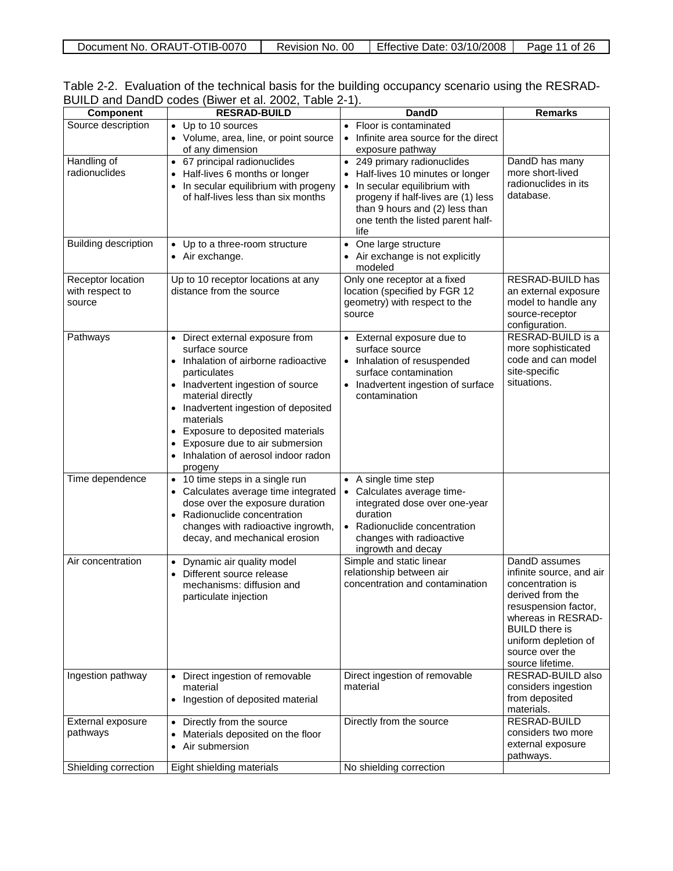| Document No. ORAUT-OTIB-0070 | Revision No. 00 | Effective Date: 03/10/2008 | ີ 26<br>Page<br>0t |
|------------------------------|-----------------|----------------------------|--------------------|
|                              |                 |                            |                    |

| Table 2-2. Evaluation of the technical basis for the building occupancy scenario using the RESRAD- |  |  |  |  |
|----------------------------------------------------------------------------------------------------|--|--|--|--|
| BUILD and DandD codes (Biwer et al. 2002, Table 2-1).                                              |  |  |  |  |

|                                        | -,<br><b>RESRAD-BUILD</b>                       | <b>DandD</b>                                     | <b>Remarks</b>           |
|----------------------------------------|-------------------------------------------------|--------------------------------------------------|--------------------------|
| <b>Component</b><br>Source description |                                                 |                                                  |                          |
|                                        | • Up to 10 sources                              | • Floor is contaminated                          |                          |
|                                        | • Volume, area, line, or point source           | Infinite area source for the direct<br>$\bullet$ |                          |
|                                        | of any dimension                                | exposure pathway                                 |                          |
| Handling of                            | • 67 principal radionuclides                    | • 249 primary radionuclides                      | DandD has many           |
| radionuclides                          | Half-lives 6 months or longer                   | Half-lives 10 minutes or longer                  | more short-lived         |
|                                        | In secular equilibrium with progeny             | • In secular equilibrium with                    | radionuclides in its     |
|                                        | of half-lives less than six months              | progeny if half-lives are (1) less               | database.                |
|                                        |                                                 | than 9 hours and (2) less than                   |                          |
|                                        |                                                 | one tenth the listed parent half-                |                          |
|                                        |                                                 | life                                             |                          |
| Building description                   | • Up to a three-room structure                  | One large structure<br>$\bullet$                 |                          |
|                                        | • Air exchange.                                 | • Air exchange is not explicitly                 |                          |
|                                        |                                                 | modeled                                          |                          |
| Receptor location                      | Up to 10 receptor locations at any              | Only one receptor at a fixed                     | RESRAD-BUILD has         |
| with respect to                        | distance from the source                        | location (specified by FGR 12                    | an external exposure     |
| source                                 |                                                 | geometry) with respect to the                    | model to handle any      |
|                                        |                                                 | source                                           | source-receptor          |
|                                        |                                                 |                                                  | configuration.           |
| Pathways                               | • Direct external exposure from                 | • External exposure due to                       | RESRAD-BUILD is a        |
|                                        | surface source                                  | surface source                                   | more sophisticated       |
|                                        | Inhalation of airborne radioactive              | • Inhalation of resuspended                      | code and can model       |
|                                        | particulates                                    | surface contamination                            | site-specific            |
|                                        | • Inadvertent ingestion of source               | • Inadvertent ingestion of surface               | situations.              |
|                                        | material directly                               | contamination                                    |                          |
|                                        | Inadvertent ingestion of deposited<br>٠         |                                                  |                          |
|                                        | materials                                       |                                                  |                          |
|                                        | Exposure to deposited materials                 |                                                  |                          |
|                                        | Exposure due to air submersion                  |                                                  |                          |
|                                        | Inhalation of aerosol indoor radon              |                                                  |                          |
|                                        | progeny                                         |                                                  |                          |
| Time dependence                        | • 10 time steps in a single run                 | • A single time step                             |                          |
|                                        | Calculates average time integrated<br>$\bullet$ | • Calculates average time-                       |                          |
|                                        | dose over the exposure duration                 | integrated dose over one-year                    |                          |
|                                        | Radionuclide concentration                      | duration                                         |                          |
|                                        | changes with radioactive ingrowth,              | • Radionuclide concentration                     |                          |
|                                        | decay, and mechanical erosion                   | changes with radioactive                         |                          |
|                                        |                                                 | ingrowth and decay                               |                          |
| Air concentration                      | Dynamic air quality model<br>$\bullet$          | Simple and static linear                         | DandD assumes            |
|                                        | Different source release                        | relationship between air                         | infinite source, and air |
|                                        | mechanisms: diffusion and                       | concentration and contamination                  | concentration is         |
|                                        | particulate injection                           |                                                  | derived from the         |
|                                        |                                                 |                                                  | resuspension factor,     |
|                                        |                                                 |                                                  | whereas in RESRAD-       |
|                                        |                                                 |                                                  | <b>BUILD</b> there is    |
|                                        |                                                 |                                                  | uniform depletion of     |
|                                        |                                                 |                                                  | source over the          |
|                                        |                                                 |                                                  | source lifetime.         |
| Ingestion pathway                      | • Direct ingestion of removable                 | Direct ingestion of removable                    | RESRAD-BUILD also        |
|                                        | material                                        | material                                         | considers ingestion      |
|                                        | • Ingestion of deposited material               |                                                  | from deposited           |
|                                        |                                                 |                                                  | materials.               |
| External exposure                      | • Directly from the source                      | Directly from the source                         | RESRAD-BUILD             |
| pathways                               | Materials deposited on the floor                |                                                  | considers two more       |
|                                        | Air submersion<br>$\bullet$                     |                                                  | external exposure        |
|                                        |                                                 |                                                  | pathways.                |
| Shielding correction                   | Eight shielding materials                       | No shielding correction                          |                          |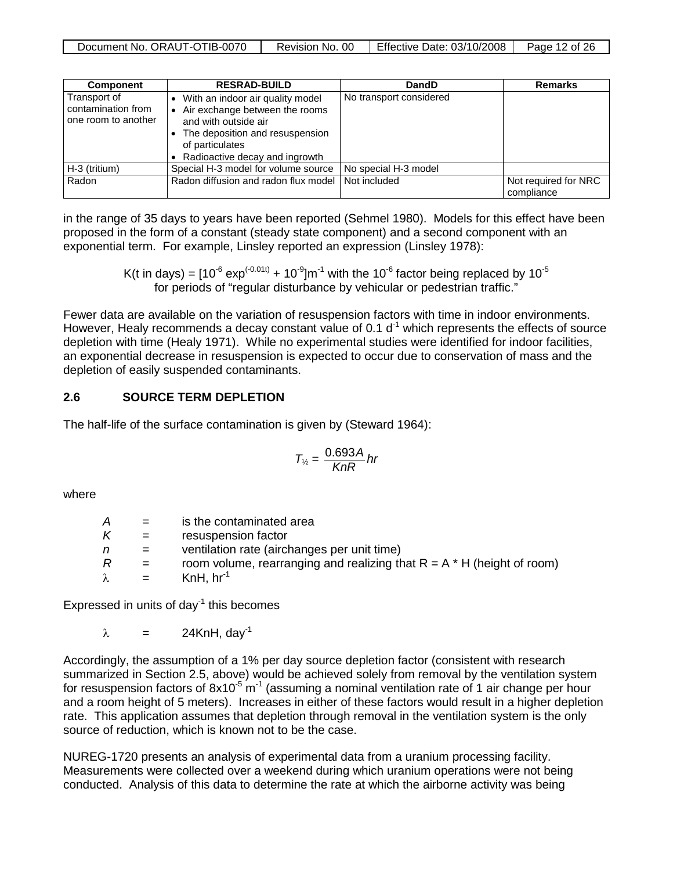| Document No. ORAUT-OTIB-0070 | Revision No. 00 | Effective Date: 03/10/2008 | Page 12 of 26 |
|------------------------------|-----------------|----------------------------|---------------|
|                              |                 |                            |               |

| <b>Component</b>                                          | <b>RESRAD-BUILD</b>                                                                                                                                                                | DandD                   | <b>Remarks</b>                     |
|-----------------------------------------------------------|------------------------------------------------------------------------------------------------------------------------------------------------------------------------------------|-------------------------|------------------------------------|
| Transport of<br>contamination from<br>one room to another | With an indoor air quality model<br>Air exchange between the rooms<br>and with outside air<br>The deposition and resuspension<br>of particulates<br>Radioactive decay and ingrowth | No transport considered |                                    |
| H-3 (tritium)                                             | Special H-3 model for volume source                                                                                                                                                | No special H-3 model    |                                    |
| Radon                                                     | Radon diffusion and radon flux model                                                                                                                                               | Not included            | Not required for NRC<br>compliance |

in the range of 35 days to years have been reported (Sehmel 1980). Models for this effect have been proposed in the form of a constant (steady state component) and a second component with an exponential term. For example, Linsley reported an expression (Linsley 1978):

> K(t in days) =  $[10^{-6}$  exp<sup>(-0.01t)</sup> +  $10^{-9}$  m<sup>-1</sup> with the 10<sup>-6</sup> factor being replaced by 10<sup>-5</sup> for periods of "regular disturbance by vehicular or pedestrian traffic."

Fewer data are available on the variation of resuspension factors with time in indoor environments. However, Healy recommends a decay constant value of 0.1  $d<sup>-1</sup>$  which represents the effects of source depletion with time (Healy 1971). While no experimental studies were identified for indoor facilities, an exponential decrease in resuspension is expected to occur due to conservation of mass and the depletion of easily suspended contaminants.

## **2.6 SOURCE TERM DEPLETION**

The half-life of the surface contamination is given by (Steward 1964):

$$
T_{\frac{y}{2}} = \frac{0.693A}{KnR} hr
$$

where

| A         | $=$                       | is the contaminated area                                                 |
|-----------|---------------------------|--------------------------------------------------------------------------|
| K         | $=$                       | resuspension factor                                                      |
| n         | $=$                       | ventilation rate (airchanges per unit time)                              |
| R         | $=$                       | room volume, rearranging and realizing that $R = A * H$ (height of room) |
| $\lambda$ | $\mathbf{r} = \mathbf{r}$ | KnH, $hr^{-1}$                                                           |

Expressed in units of day $^{-1}$  this becomes

 $\lambda$  = 24KnH, dav<sup>-1</sup>

Accordingly, the assumption of a 1% per day source depletion factor (consistent with research summarized in Section 2.5, above) would be achieved solely from removal by the ventilation system for resuspension factors of  $8x10^{-5}$  m<sup>-1</sup> (assuming a nominal ventilation rate of 1 air change per hour and a room height of 5 meters). Increases in either of these factors would result in a higher depletion rate. This application assumes that depletion through removal in the ventilation system is the only source of reduction, which is known not to be the case.

NUREG-1720 presents an analysis of experimental data from a uranium processing facility. Measurements were collected over a weekend during which uranium operations were not being conducted. Analysis of this data to determine the rate at which the airborne activity was being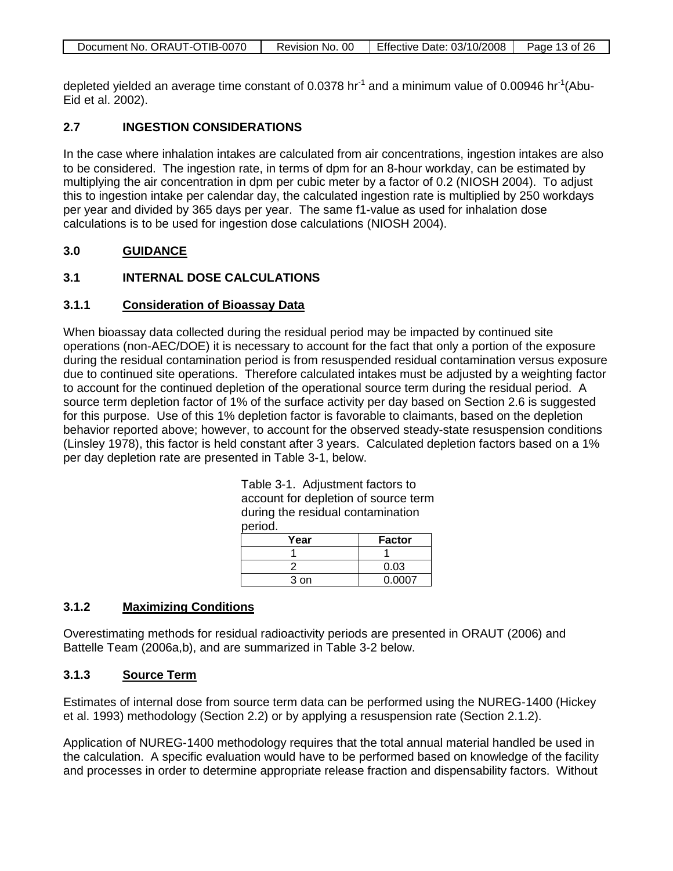| Document No. ORAUT-OTIB-0070 | Revision No. 00 | Effective Date: 03/10/2008 | Page 13 of 26 |
|------------------------------|-----------------|----------------------------|---------------|

depleted yielded an average time constant of 0.0378 hr<sup>-1</sup> and a minimum value of 0.00946 hr<sup>-1</sup>(Abu-Eid et al. 2002).

## **2.7 INGESTION CONSIDERATIONS**

In the case where inhalation intakes are calculated from air concentrations, ingestion intakes are also to be considered. The ingestion rate, in terms of dpm for an 8-hour workday, can be estimated by multiplying the air concentration in dpm per cubic meter by a factor of 0.2 (NIOSH 2004). To adjust this to ingestion intake per calendar day, the calculated ingestion rate is multiplied by 250 workdays per year and divided by 365 days per year. The same f1-value as used for inhalation dose calculations is to be used for ingestion dose calculations (NIOSH 2004).

#### **3.0 GUIDANCE**

## **3.1 INTERNAL DOSE CALCULATIONS**

#### **3.1.1 Consideration of Bioassay Data**

When bioassay data collected during the residual period may be impacted by continued site operations (non-AEC/DOE) it is necessary to account for the fact that only a portion of the exposure during the residual contamination period is from resuspended residual contamination versus exposure due to continued site operations. Therefore calculated intakes must be adjusted by a weighting factor to account for the continued depletion of the operational source term during the residual period. A source term depletion factor of 1% of the surface activity per day based on Section 2.6 is suggested for this purpose. Use of this 1% depletion factor is favorable to claimants, based on the depletion behavior reported above; however, to account for the observed steady-state resuspension conditions (Linsley 1978), this factor is held constant after 3 years. Calculated depletion factors based on a 1% per day depletion rate are presented in Table 3-1, below.

> Table 3-1. Adjustment factors to account for depletion of source term during the residual contamination period.

| Year | <b>Factor</b> |
|------|---------------|
|      |               |
|      | 0.03          |
| 3 on | 0.0007        |

#### **3.1.2 Maximizing Conditions**

Overestimating methods for residual radioactivity periods are presented in ORAUT (2006) and Battelle Team (2006a,b), and are summarized in Table 3-2 below.

#### **3.1.3 Source Term**

Estimates of internal dose from source term data can be performed using the NUREG-1400 (Hickey et al. 1993) methodology (Section 2.2) or by applying a resuspension rate (Section 2.1.2).

Application of NUREG-1400 methodology requires that the total annual material handled be used in the calculation. A specific evaluation would have to be performed based on knowledge of the facility and processes in order to determine appropriate release fraction and dispensability factors. Without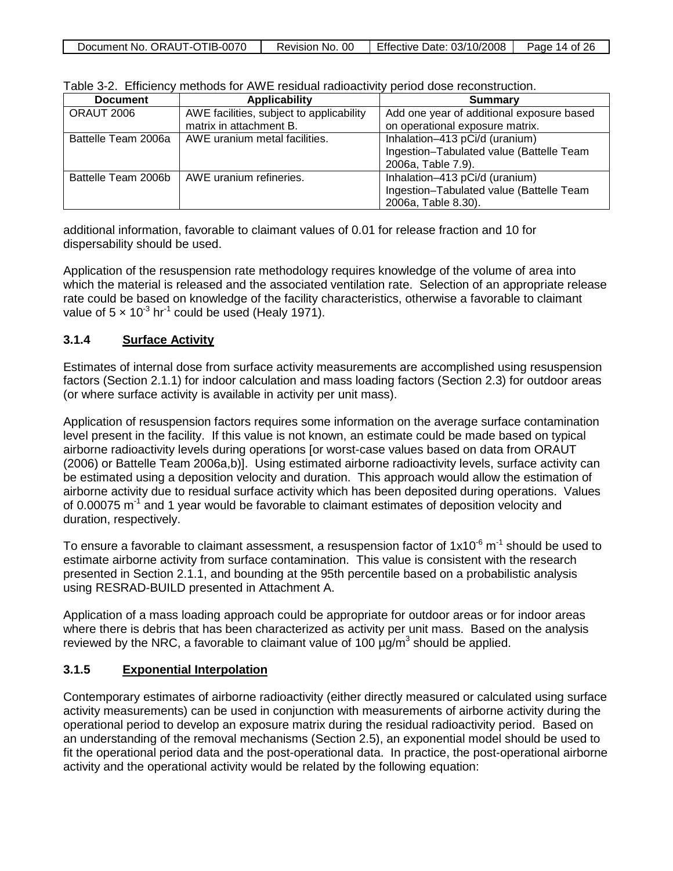| Document No. ORAUT-OTIB-0070 | Revision No. 00 | Effective Date: $03/10/2008$ | Page 14 of 26 |
|------------------------------|-----------------|------------------------------|---------------|
|                              |                 |                              |               |

| <b>Document</b>     | <b>Applicability</b>                     | <b>Summary</b>                            |
|---------------------|------------------------------------------|-------------------------------------------|
| ORAUT 2006          | AWE facilities, subject to applicability | Add one year of additional exposure based |
|                     | matrix in attachment B.                  | on operational exposure matrix.           |
| Battelle Team 2006a | AWE uranium metal facilities.            | Inhalation-413 pCi/d (uranium)            |
|                     |                                          | Ingestion-Tabulated value (Battelle Team  |
|                     |                                          | 2006a, Table 7.9).                        |
| Battelle Team 2006b | AWE uranium refineries.                  | Inhalation-413 pCi/d (uranium)            |
|                     |                                          | Ingestion-Tabulated value (Battelle Team  |
|                     |                                          | 2006a, Table 8.30).                       |

Table 3-2. Efficiency methods for AWE residual radioactivity period dose reconstruction.

additional information, favorable to claimant values of 0.01 for release fraction and 10 for dispersability should be used.

Application of the resuspension rate methodology requires knowledge of the volume of area into which the material is released and the associated ventilation rate. Selection of an appropriate release rate could be based on knowledge of the facility characteristics, otherwise a favorable to claimant value of  $5 \times 10^{-3}$  hr<sup>-1</sup> could be used (Healy 1971).

#### **3.1.4 Surface Activity**

Estimates of internal dose from surface activity measurements are accomplished using resuspension factors (Section 2.1.1) for indoor calculation and mass loading factors (Section 2.3) for outdoor areas (or where surface activity is available in activity per unit mass).

Application of resuspension factors requires some information on the average surface contamination level present in the facility. If this value is not known, an estimate could be made based on typical airborne radioactivity levels during operations [or worst-case values based on data from ORAUT (2006) or Battelle Team 2006a,b)]. Using estimated airborne radioactivity levels, surface activity can be estimated using a deposition velocity and duration. This approach would allow the estimation of airborne activity due to residual surface activity which has been deposited during operations. Values of 0.00075 m<sup>-1</sup> and 1 year would be favorable to claimant estimates of deposition velocity and duration, respectively.

To ensure a favorable to claimant assessment, a resuspension factor of  $1x10^{-6}$  m<sup>-1</sup> should be used to estimate airborne activity from surface contamination. This value is consistent with the research presented in Section 2.1.1, and bounding at the 95th percentile based on a probabilistic analysis using RESRAD-BUILD presented in Attachment A.

Application of a mass loading approach could be appropriate for outdoor areas or for indoor areas where there is debris that has been characterized as activity per unit mass. Based on the analysis reviewed by the NRC, a favorable to claimant value of 100  $\mu$ g/m<sup>3</sup> should be applied.

## **3.1.5 Exponential Interpolation**

Contemporary estimates of airborne radioactivity (either directly measured or calculated using surface activity measurements) can be used in conjunction with measurements of airborne activity during the operational period to develop an exposure matrix during the residual radioactivity period. Based on an understanding of the removal mechanisms (Section 2.5), an exponential model should be used to fit the operational period data and the post-operational data. In practice, the post-operational airborne activity and the operational activity would be related by the following equation: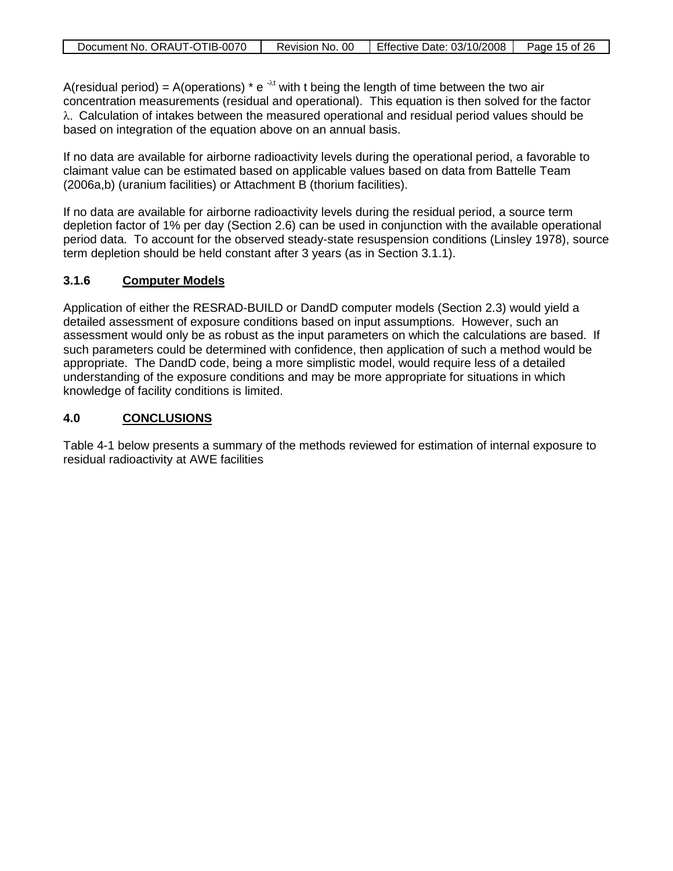A(residual period) = A(operations)  $* e^{-\lambda t}$  with t being the length of time between the two air concentration measurements (residual and operational). This equation is then solved for the factor λ. Calculation of intakes between the measured operational and residual period values should be based on integration of the equation above on an annual basis.

If no data are available for airborne radioactivity levels during the operational period, a favorable to claimant value can be estimated based on applicable values based on data from Battelle Team (2006a,b) (uranium facilities) or Attachment B (thorium facilities).

If no data are available for airborne radioactivity levels during the residual period, a source term depletion factor of 1% per day (Section 2.6) can be used in conjunction with the available operational period data. To account for the observed steady-state resuspension conditions (Linsley 1978), source term depletion should be held constant after 3 years (as in Section 3.1.1).

#### **3.1.6 Computer Models**

Application of either the RESRAD-BUILD or DandD computer models (Section 2.3) would yield a detailed assessment of exposure conditions based on input assumptions. However, such an assessment would only be as robust as the input parameters on which the calculations are based. If such parameters could be determined with confidence, then application of such a method would be appropriate. The DandD code, being a more simplistic model, would require less of a detailed understanding of the exposure conditions and may be more appropriate for situations in which knowledge of facility conditions is limited.

#### **4.0 CONCLUSIONS**

Table 4-1 below presents a summary of the methods reviewed for estimation of internal exposure to residual radioactivity at AWE facilities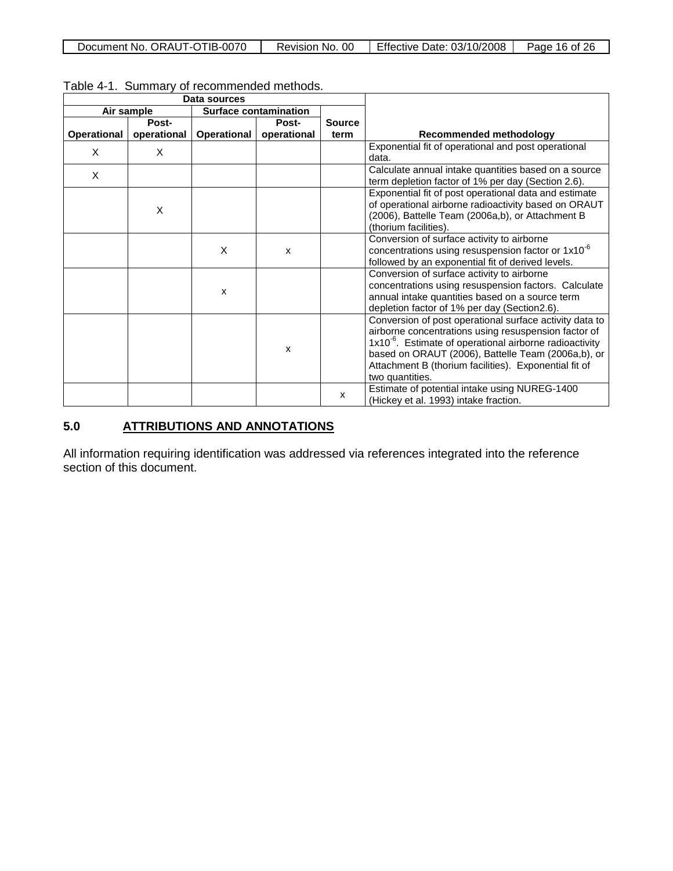| Document No. ORAUT-OTIB-0070 | Revision No. 00 | <b>Effective Date: 03/10/2008</b> | Page 16 of 26 |
|------------------------------|-----------------|-----------------------------------|---------------|
|------------------------------|-----------------|-----------------------------------|---------------|

| Data sources |             |                    |                              |               |                                                                                                                                                                                                                                                                                                                          |
|--------------|-------------|--------------------|------------------------------|---------------|--------------------------------------------------------------------------------------------------------------------------------------------------------------------------------------------------------------------------------------------------------------------------------------------------------------------------|
|              | Air sample  |                    | <b>Surface contamination</b> |               |                                                                                                                                                                                                                                                                                                                          |
|              | Post-       |                    | <b>Post-</b>                 | <b>Source</b> |                                                                                                                                                                                                                                                                                                                          |
| Operational  | operational | <b>Operational</b> | operational                  | term          | <b>Recommended methodology</b>                                                                                                                                                                                                                                                                                           |
| X            | X           |                    |                              |               | Exponential fit of operational and post operational<br>data.                                                                                                                                                                                                                                                             |
| X            |             |                    |                              |               | Calculate annual intake quantities based on a source<br>term depletion factor of 1% per day (Section 2.6).                                                                                                                                                                                                               |
|              | X           |                    |                              |               | Exponential fit of post operational data and estimate<br>of operational airborne radioactivity based on ORAUT<br>(2006), Battelle Team (2006a,b), or Attachment B<br>(thorium facilities).                                                                                                                               |
|              |             | X                  | $\mathsf{x}$                 |               | Conversion of surface activity to airborne<br>concentrations using resuspension factor or 1x10 <sup>-6</sup><br>followed by an exponential fit of derived levels.                                                                                                                                                        |
|              |             | X                  |                              |               | Conversion of surface activity to airborne<br>concentrations using resuspension factors. Calculate<br>annual intake quantities based on a source term<br>depletion factor of 1% per day (Section2.6).                                                                                                                    |
|              |             |                    | X                            |               | Conversion of post operational surface activity data to<br>airborne concentrations using resuspension factor of<br>1x10 <sup>-6</sup> . Estimate of operational airborne radioactivity<br>based on ORAUT (2006), Battelle Team (2006a,b), or<br>Attachment B (thorium facilities). Exponential fit of<br>two quantities. |
|              |             |                    |                              | X             | Estimate of potential intake using NUREG-1400<br>(Hickey et al. 1993) intake fraction.                                                                                                                                                                                                                                   |

Table 4-1. Summary of recommended methods.

## **5.0 ATTRIBUTIONS AND ANNOTATIONS**

All information requiring identification was addressed via references integrated into the reference section of this document.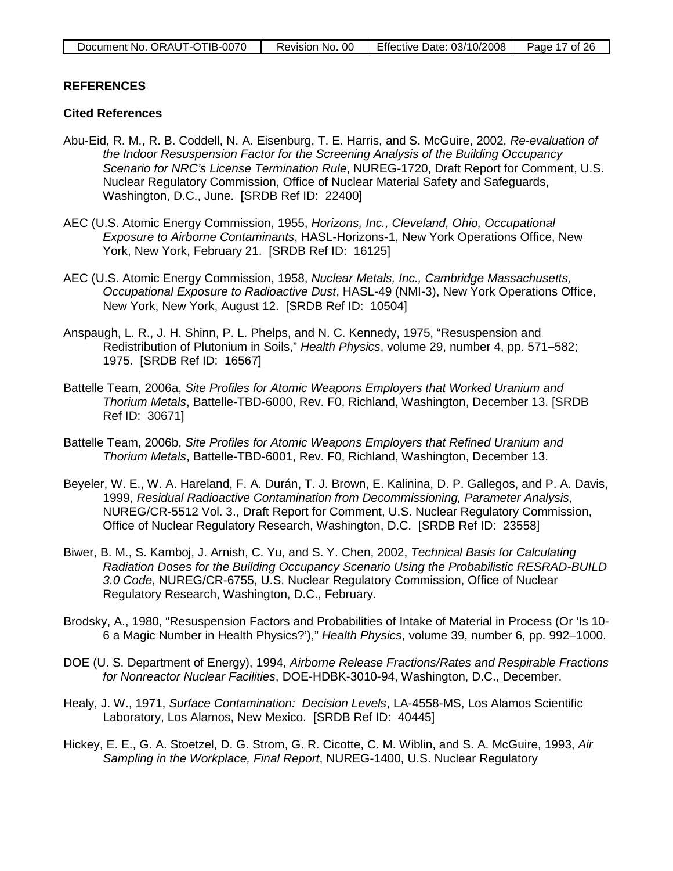## **REFERENCES**

## **Cited References**

- Abu-Eid, R. M., R. B. Coddell, N. A. Eisenburg, T. E. Harris, and S. McGuire, 2002, *Re-evaluation of the Indoor Resuspension Factor for the Screening Analysis of the Building Occupancy Scenario for NRC's License Termination Rule*, NUREG-1720, Draft Report for Comment, U.S. Nuclear Regulatory Commission, Office of Nuclear Material Safety and Safeguards, Washington, D.C., June. [SRDB Ref ID: 22400]
- AEC (U.S. Atomic Energy Commission, 1955, *Horizons, Inc., Cleveland, Ohio, Occupational Exposure to Airborne Contaminants*, HASL-Horizons-1, New York Operations Office, New York, New York, February 21. [SRDB Ref ID: 16125]
- AEC (U.S. Atomic Energy Commission, 1958, *Nuclear Metals, Inc., Cambridge Massachusetts, Occupational Exposure to Radioactive Dust*, HASL-49 (NMI-3), New York Operations Office, New York, New York, August 12. [SRDB Ref ID: 10504]
- Anspaugh, L. R., J. H. Shinn, P. L. Phelps, and N. C. Kennedy, 1975, "Resuspension and Redistribution of Plutonium in Soils," *Health Physics*, volume 29, number 4, pp. 571–582; 1975. [SRDB Ref ID: 16567]
- Battelle Team, 2006a, *Site Profiles for Atomic Weapons Employers that Worked Uranium and Thorium Metals*, Battelle-TBD-6000, Rev. F0, Richland, Washington, December 13. [SRDB Ref ID: 30671]
- Battelle Team, 2006b, *Site Profiles for Atomic Weapons Employers that Refined Uranium and Thorium Metals*, Battelle-TBD-6001, Rev. F0, Richland, Washington, December 13.
- Beyeler, W. E., W. A. Hareland, F. A. Durán, T. J. Brown, E. Kalinina, D. P. Gallegos, and P. A. Davis, 1999, *Residual Radioactive Contamination from Decommissioning, Parameter Analysis*, NUREG/CR-5512 Vol. 3., Draft Report for Comment, U.S. Nuclear Regulatory Commission, Office of Nuclear Regulatory Research, Washington, D.C. [SRDB Ref ID: 23558]
- Biwer, B. M., S. Kamboj, J. Arnish, C. Yu, and S. Y. Chen, 2002, *Technical Basis for Calculating Radiation Doses for the Building Occupancy Scenario Using the Probabilistic RESRAD-BUILD 3.0 Code*, NUREG/CR-6755, U.S. Nuclear Regulatory Commission, Office of Nuclear Regulatory Research, Washington, D.C., February.
- Brodsky, A., 1980, "Resuspension Factors and Probabilities of Intake of Material in Process (Or 'Is 10- 6 a Magic Number in Health Physics?')," *Health Physics*, volume 39, number 6, pp. 992–1000.
- DOE (U. S. Department of Energy), 1994, *Airborne Release Fractions/Rates and Respirable Fractions for Nonreactor Nuclear Facilities*, DOE-HDBK-3010-94, Washington, D.C., December.
- Healy, J. W., 1971, *Surface Contamination: Decision Levels*, LA-4558-MS, Los Alamos Scientific Laboratory, Los Alamos, New Mexico. [SRDB Ref ID: 40445]
- Hickey, E. E., G. A. Stoetzel, D. G. Strom, G. R. Cicotte, C. M. Wiblin, and S. A. McGuire, 1993, *Air Sampling in the Workplace, Final Report*, NUREG-1400, U.S. Nuclear Regulatory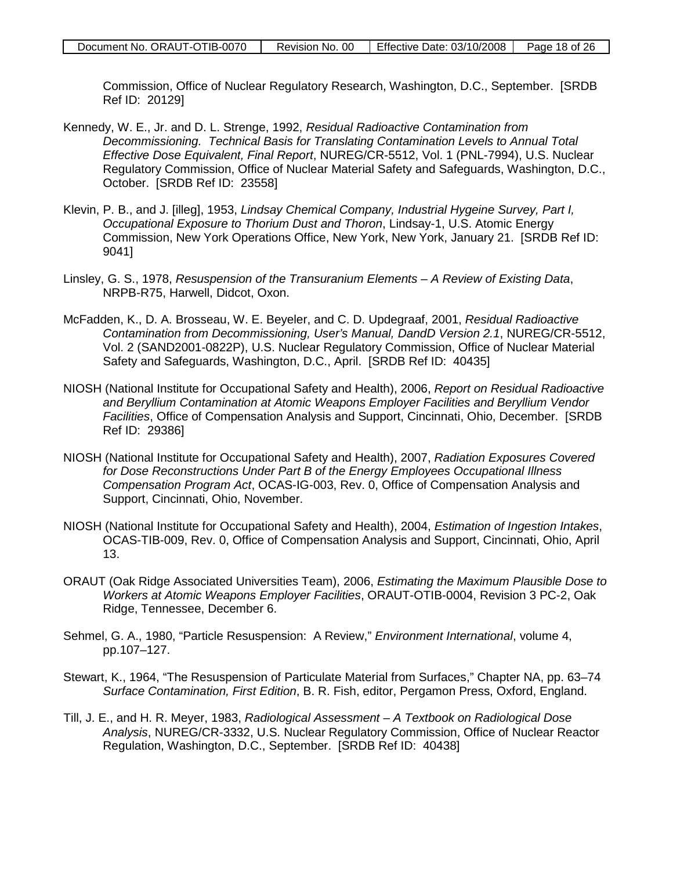Commission, Office of Nuclear Regulatory Research, Washington, D.C., September. [SRDB Ref ID: 20129]

- Kennedy, W. E., Jr. and D. L. Strenge, 1992, *Residual Radioactive Contamination from Decommissioning. Technical Basis for Translating Contamination Levels to Annual Total Effective Dose Equivalent, Final Report*, NUREG/CR-5512, Vol. 1 (PNL-7994), U.S. Nuclear Regulatory Commission, Office of Nuclear Material Safety and Safeguards, Washington, D.C., October. [SRDB Ref ID: 23558]
- Klevin, P. B., and J. [illeg], 1953, *Lindsay Chemical Company, Industrial Hygeine Survey, Part I, Occupational Exposure to Thorium Dust and Thoron*, Lindsay-1, U.S. Atomic Energy Commission, New York Operations Office, New York, New York, January 21. [SRDB Ref ID: 9041]
- Linsley, G. S., 1978, *Resuspension of the Transuranium Elements A Review of Existing Data*, NRPB-R75, Harwell, Didcot, Oxon.
- McFadden, K., D. A. Brosseau, W. E. Beyeler, and C. D. Updegraaf, 2001, *Residual Radioactive Contamination from Decommissioning, User's Manual, DandD Version 2.1*, NUREG/CR-5512, Vol. 2 (SAND2001-0822P), U.S. Nuclear Regulatory Commission, Office of Nuclear Material Safety and Safeguards, Washington, D.C., April. [SRDB Ref ID: 40435]
- NIOSH (National Institute for Occupational Safety and Health), 2006, *Report on Residual Radioactive and Beryllium Contamination at Atomic Weapons Employer Facilities and Beryllium Vendor Facilities*, Office of Compensation Analysis and Support, Cincinnati, Ohio, December. [SRDB Ref ID: 29386]
- NIOSH (National Institute for Occupational Safety and Health), 2007, *Radiation Exposures Covered for Dose Reconstructions Under Part B of the Energy Employees Occupational Illness Compensation Program Act*, OCAS-IG-003, Rev. 0, Office of Compensation Analysis and Support, Cincinnati, Ohio, November.
- NIOSH (National Institute for Occupational Safety and Health), 2004, *Estimation of Ingestion Intakes*, OCAS-TIB-009, Rev. 0, Office of Compensation Analysis and Support, Cincinnati, Ohio, April 13.
- ORAUT (Oak Ridge Associated Universities Team), 2006, *Estimating the Maximum Plausible Dose to Workers at Atomic Weapons Employer Facilities*, ORAUT-OTIB-0004, Revision 3 PC-2, Oak Ridge, Tennessee, December 6.
- Sehmel, G. A., 1980, "Particle Resuspension: A Review," *Environment International*, volume 4, pp.107–127.
- Stewart, K., 1964, "The Resuspension of Particulate Material from Surfaces," Chapter NA, pp. 63–74 *Surface Contamination, First Edition*, B. R. Fish, editor, Pergamon Press, Oxford, England.
- Till, J. E., and H. R. Meyer, 1983, *Radiological Assessment A Textbook on Radiological Dose Analysis*, NUREG/CR-3332, U.S. Nuclear Regulatory Commission, Office of Nuclear Reactor Regulation, Washington, D.C., September. [SRDB Ref ID: 40438]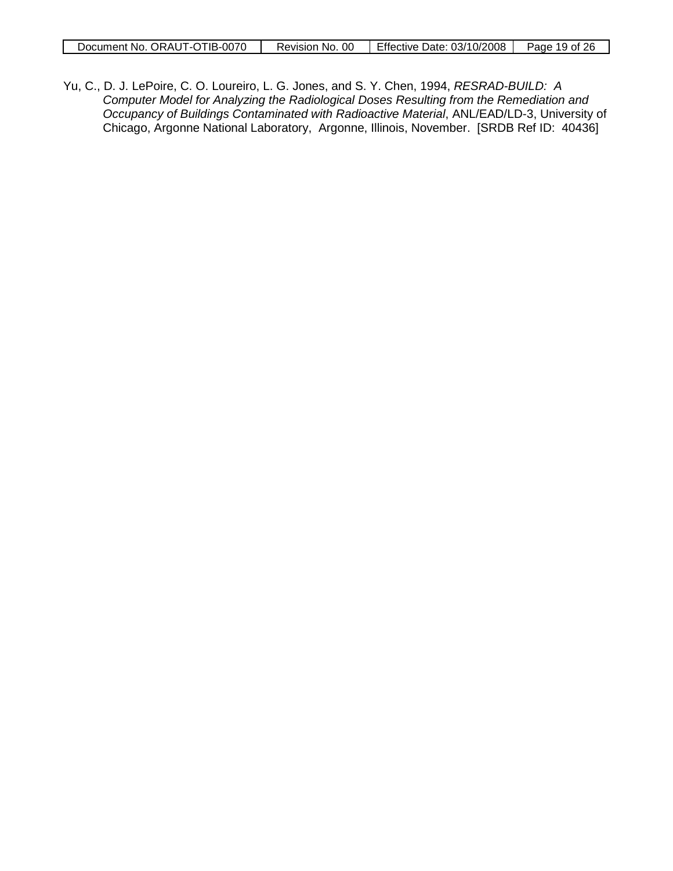| Document No. ORAUT-OTIB-0070 | Revision No. 00   Effective Date: 03/10/2008   Page 19 of 26 |  |
|------------------------------|--------------------------------------------------------------|--|

Yu, C., D. J. LePoire, C. O. Loureiro, L. G. Jones, and S. Y. Chen, 1994, *RESRAD-BUILD: A Computer Model for Analyzing the Radiological Doses Resulting from the Remediation and Occupancy of Buildings Contaminated with Radioactive Material*, ANL/EAD/LD-3, University of Chicago, Argonne National Laboratory, Argonne, Illinois, November. [SRDB Ref ID: 40436]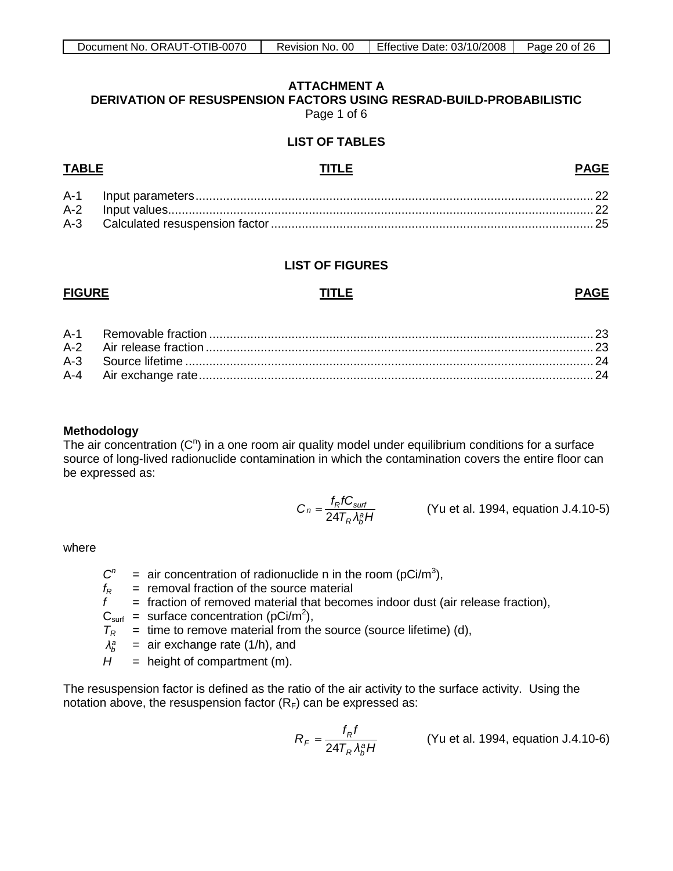## **ATTACHMENT A**

<span id="page-19-0"></span>**DERIVATION OF RESUSPENSION FACTORS USING RESRAD-BUILD-PROBABILISTIC** Page 1 of 6

## **LIST OF TABLES**

# A-1 Input parameters.................................................................................................................... 22

A-2 Input values............................................................................................................................22 A-3 Calculated resuspension factor.............................................................................................. 25

## **LIST OF FIGURES**

## **FIGURE TITLE PAGE**

**PAGE**

## **Methodology**

The air concentration  $(C<sup>n</sup>)$  in a one room air quality model under equilibrium conditions for a surface source of long-lived radionuclide contamination in which the contamination covers the entire floor can be expressed as:

$$
C_n = \frac{f_R f C_{surf}}{24T_R \lambda_B^a H}
$$
 (Yu et al. 1994, equation J.4.10-5)

where

- $C<sup>n</sup>$  $=$  air concentration of radionuclide n in the room (pCi/m<sup>3</sup>),
- $f_R$  = removal fraction of the source material
- $f =$  fraction of removed material that becomes indoor dust (air release fraction),
- $C_{\text{surf}}$  = surface concentration (pCi/m<sup>2</sup>),
- $T_R$  = time to remove material from the source (source lifetime) (d),
- $\lambda_h^a$  $=$  air exchange rate (1/h), and
- $H =$  height of compartment (m).

The resuspension factor is defined as the ratio of the air activity to the surface activity. Using the notation above, the resuspension factor  $(R_F)$  can be expressed as:

$$
R_F = \frac{f_R f}{24T_R \lambda_b^a H}
$$
 (Yu et al. 1994, equation J.4.10-6)

# **TABLE TITLE**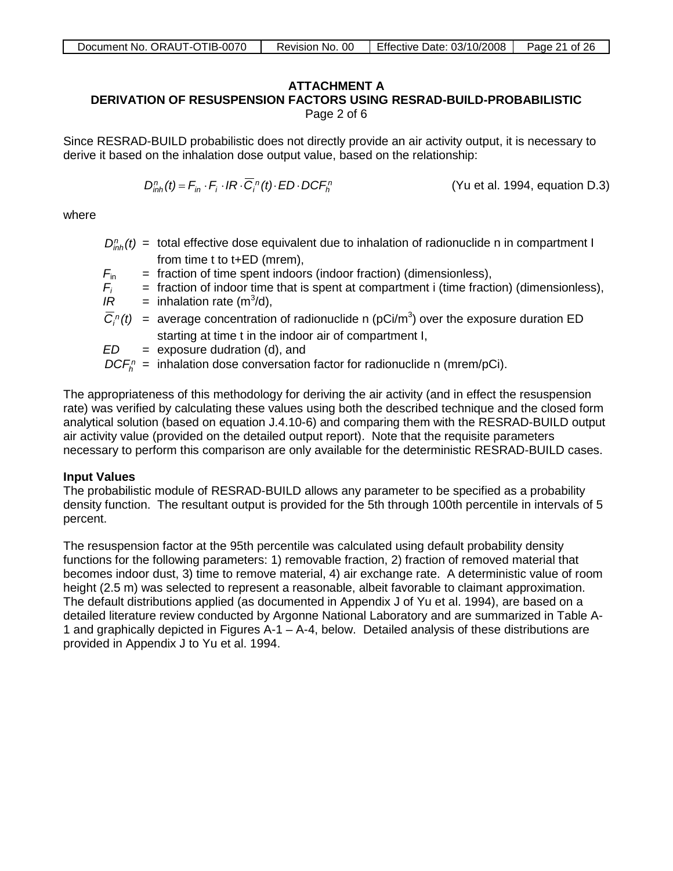## **ATTACHMENT A**

## **DERIVATION OF RESUSPENSION FACTORS USING RESRAD-BUILD-PROBABILISTIC** Page 2 of 6

Since RESRAD-BUILD probabilistic does not directly provide an air activity output, it is necessary to derive it based on the inhalation dose output value, based on the relationship:

$$
D_{inh}^n(t) = F_{in} \cdot F_i \cdot IR \cdot \overline{C}_i^n(t) \cdot ED \cdot DCF_n^n
$$
 (Yu et al. 1994, equation D.3)

where

- $D_{inh}^n(t)$  = total effective dose equivalent due to inhalation of radionuclide n in compartment I from time t to t+ED (mrem),
- $F_{\text{in}}$  = fraction of time spent indoors (indoor fraction) (dimensionless),
- = fraction of indoor time that is spent at compartment i (time fraction) (dimensionless),
- *Fi*  $IR =$  inhalation rate (m<sup>3</sup>/d),
- $\overline{C}_i^{\,n}(t)$  = average concentration of radionuclide n (pCi/m<sup>3</sup>) over the exposure duration ED starting at time t in the indoor air of compartment I,
- *ED* = exposure dudration (d), and

 $DCF<sub>b</sub><sup>n</sup>$  = inhalation dose conversation factor for radionuclide n (mrem/pCi).

The appropriateness of this methodology for deriving the air activity (and in effect the resuspension rate) was verified by calculating these values using both the described technique and the closed form analytical solution (based on equation J.4.10-6) and comparing them with the RESRAD-BUILD output air activity value (provided on the detailed output report). Note that the requisite parameters necessary to perform this comparison are only available for the deterministic RESRAD-BUILD cases.

## **Input Values**

The probabilistic module of RESRAD-BUILD allows any parameter to be specified as a probability density function. The resultant output is provided for the 5th through 100th percentile in intervals of 5 percent.

The resuspension factor at the 95th percentile was calculated using default probability density functions for the following parameters: 1) removable fraction, 2) fraction of removed material that becomes indoor dust, 3) time to remove material, 4) air exchange rate. A deterministic value of room height (2.5 m) was selected to represent a reasonable, albeit favorable to claimant approximation. The default distributions applied (as documented in Appendix J of Yu et al. 1994), are based on a detailed literature review conducted by Argonne National Laboratory and are summarized in Table A-1 and graphically depicted in Figures A-1 – A-4, below. Detailed analysis of these distributions are provided in Appendix J to Yu et al. 1994.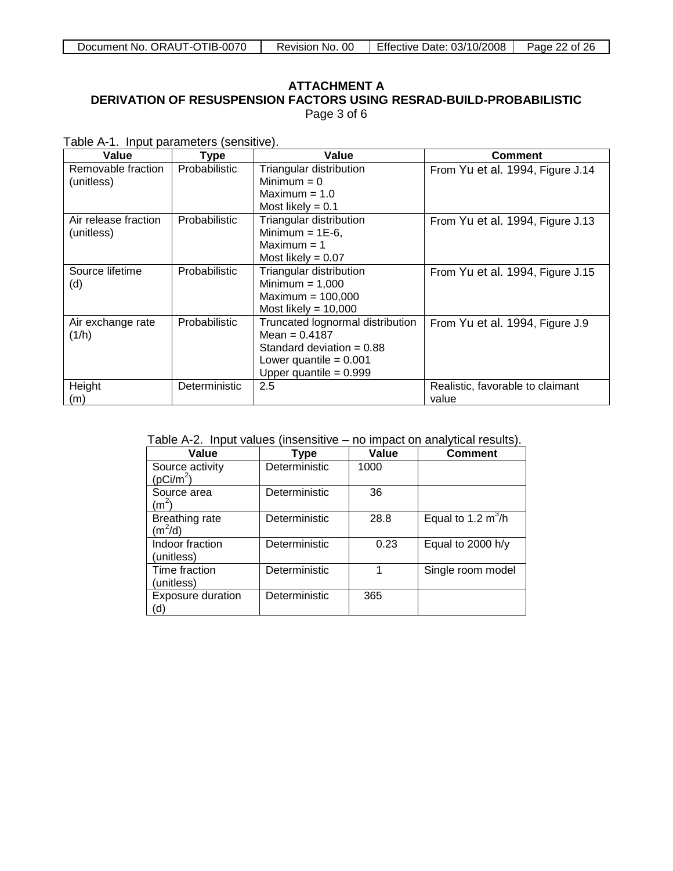## **ATTACHMENT A DERIVATION OF RESUSPENSION FACTORS USING RESRAD-BUILD-PROBABILISTIC** Page 3 of 6

|  |  | Table A-1. Input parameters (sensitive). |  |  |
|--|--|------------------------------------------|--|--|
|--|--|------------------------------------------|--|--|

| Value                              | <b>Type</b>          | Value                                                                                                                                      | Comment                                   |
|------------------------------------|----------------------|--------------------------------------------------------------------------------------------------------------------------------------------|-------------------------------------------|
| Removable fraction<br>(unitless)   | <b>Probabilistic</b> | Triangular distribution<br>Minimum $= 0$<br>Maximum $= 1.0$<br>Most likely = $0.1$                                                         | From Yu et al. 1994, Figure J.14          |
| Air release fraction<br>(unitless) | <b>Probabilistic</b> | Triangular distribution<br>Minimum = $1E-6$ ,<br>Maximum $= 1$<br>Most likely = $0.07$                                                     | From Yu et al. 1994, Figure J.13          |
| Source lifetime<br>(d)             | <b>Probabilistic</b> | Triangular distribution<br>Minimum $= 1,000$<br>Maximum = $100,000$<br>Most likely = $10,000$                                              | From Yu et al. 1994, Figure J.15          |
| Air exchange rate<br>(1/h)         | <b>Probabilistic</b> | Truncated lognormal distribution<br>Mean = $0.4187$<br>Standard deviation $= 0.88$<br>Lower quantile $= 0.001$<br>Upper quantile = $0.999$ | From Yu et al. 1994, Figure J.9           |
| Height<br>(m)                      | Deterministic        | 2.5                                                                                                                                        | Realistic, favorable to claimant<br>value |

|  | Table A-2. Input values (insensitive – no impact on analytical results). |  |
|--|--------------------------------------------------------------------------|--|
|  |                                                                          |  |

| Value                                    | Type          | Value | <b>Comment</b>       |
|------------------------------------------|---------------|-------|----------------------|
| Source activity<br>(pCi/m <sup>2</sup> ) | Deterministic | 1000  |                      |
| Source area<br>$(m^2)$                   | Deterministic | 36    |                      |
| <b>Breathing rate</b><br>$(m^2/d)$       | Deterministic | 28.8  | Equal to 1.2 $m^3/h$ |
| Indoor fraction<br>(unitless)            | Deterministic | 0.23  | Equal to 2000 h/y    |
| Time fraction<br>(unitless)              | Deterministic |       | Single room model    |
| <b>Exposure duration</b><br>(d)          | Deterministic | 365   |                      |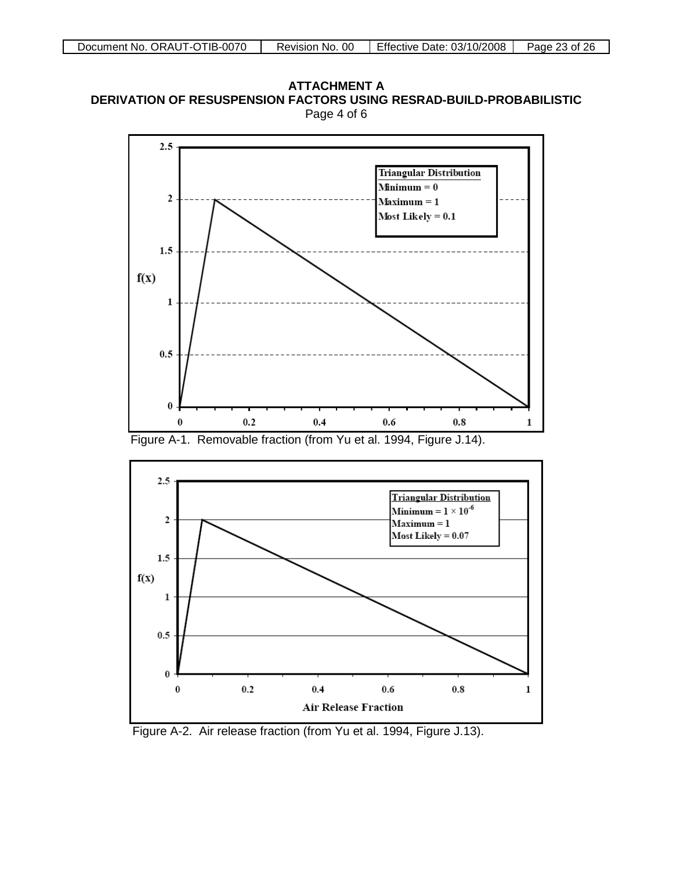**ATTACHMENT A DERIVATION OF RESUSPENSION FACTORS USING RESRAD-BUILD-PROBABILISTIC** Page 4 of 6





Figure A-2. Air release fraction (from Yu et al. 1994, Figure J.13).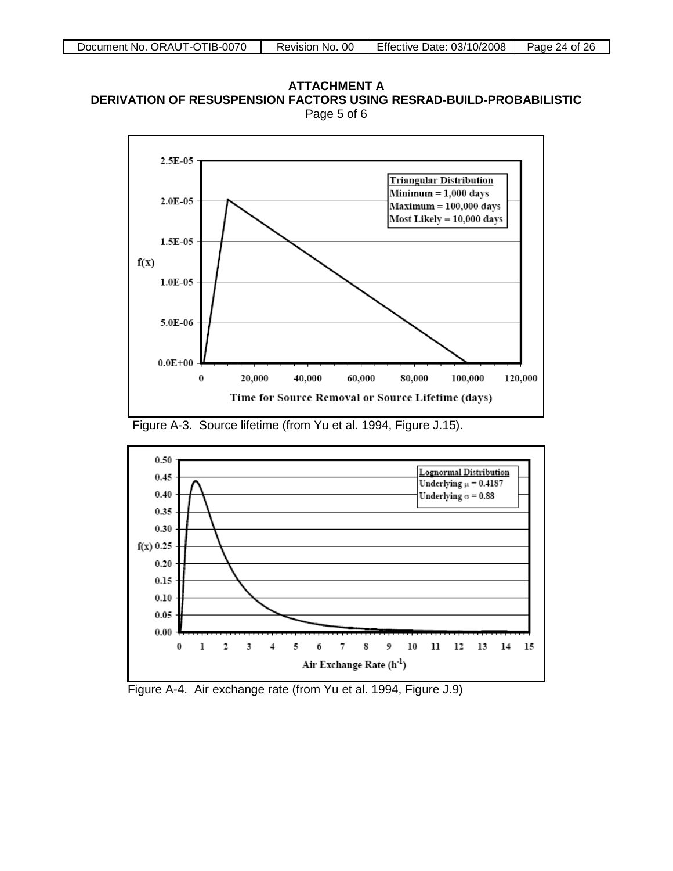







Figure A-4. Air exchange rate (from Yu et al. 1994, Figure J.9)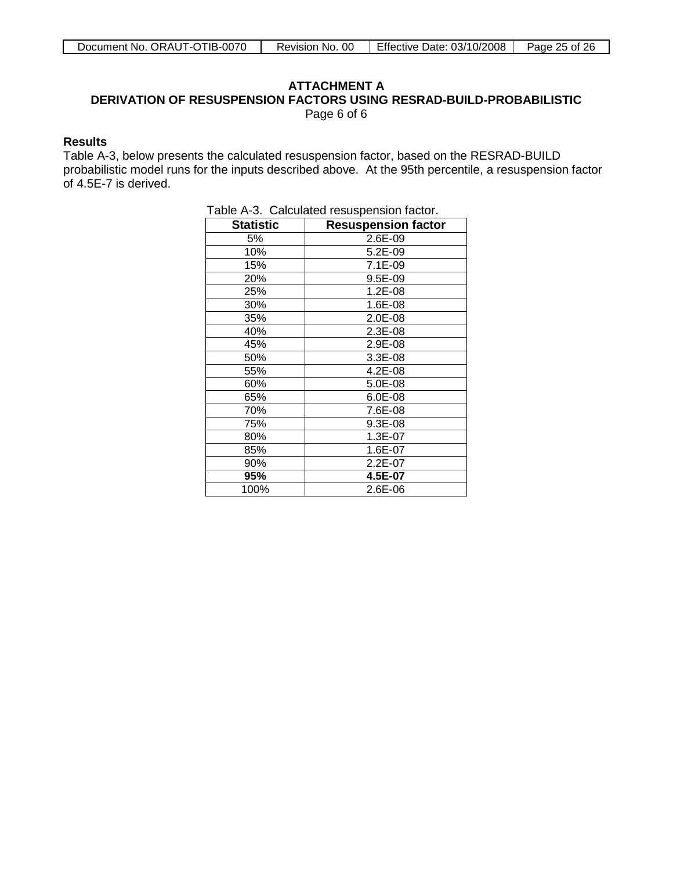## **ATTACHMENT A**

**DERIVATION OF RESUSPENSION FACTORS USING RESRAD-BUILD-PROBABILISTIC**

Page 6 of 6

## **Results**

Table A-3, below presents the calculated resuspension factor, based on the RESRAD-BUILD probabilistic model runs for the inputs described above. At the 95th percentile, a resuspension factor of 4.5E-7 is derived.

|                  | rabic A-5. Calculated resusperision ractor. |
|------------------|---------------------------------------------|
| <b>Statistic</b> | <b>Resuspension factor</b>                  |
| 5%               | 2.6E-09                                     |
| 10%              | 5.2E-09                                     |
| 15%              | $7.1E-09$                                   |
| 20%              | 9.5E-09                                     |
| 25%              | 1.2E-08                                     |
| 30%              | 1.6E-08                                     |
| 35%              | 2.0E-08                                     |
| 40%              | 2.3E-08                                     |
| 45%              | 2.9E-08                                     |
| 50%              | 3.3E-08                                     |
| 55%              | 4.2E-08                                     |
| 60%              | 5.0E-08                                     |
| 65%              | 6.0E-08                                     |
| 70%              | 7.6E-08                                     |
| 75%              | 9.3E-08                                     |
| 80%              | 1.3E-07                                     |
| 85%              | 1.6E-07                                     |
| 90%              | 2.2E-07                                     |
| 95%              | 4.5E-07                                     |
| 100%             | 2.6E-06                                     |

|  |  | Table A-3. Calculated resuspension factor. |
|--|--|--------------------------------------------|
|--|--|--------------------------------------------|